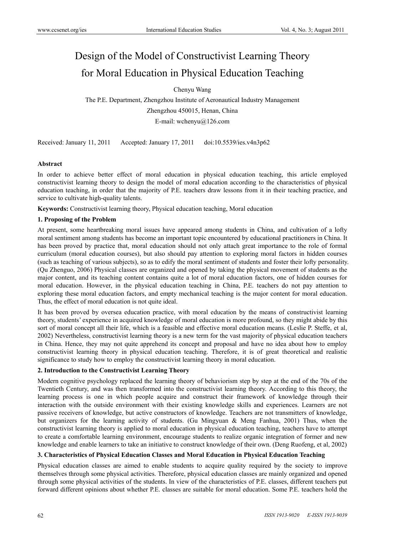# Design of the Model of Constructivist Learning Theory for Moral Education in Physical Education Teaching

Chenyu Wang

The P.E. Department, Zhengzhou Institute of Aeronautical Industry Management Zhengzhou 450015, Henan, China E-mail: wchenyu@126.com

Received: January 11, 2011 Accepted: January 17, 2011 doi:10.5539/ies.v4n3p62

#### **Abstract**

In order to achieve better effect of moral education in physical education teaching, this article employed constructivist learning theory to design the model of moral education according to the characteristics of physical education teaching, in order that the majority of P.E. teachers draw lessons from it in their teaching practice, and service to cultivate high-quality talents.

**Keywords:** Constructivist learning theory, Physical education teaching, Moral education

#### **1. Proposing of the Problem**

At present, some heartbreaking moral issues have appeared among students in China, and cultivation of a lofty moral sentiment among students has become an important topic encountered by educational practitioners in China. It has been proved by practice that, moral education should not only attach great importance to the role of formal curriculum (moral education courses), but also should pay attention to exploring moral factors in hidden courses (such as teaching of various subjects), so as to edify the moral sentiment of students and foster their lofty personality. (Qu Zhenguo, 2006) Physical classes are organized and opened by taking the physical movement of students as the major content, and its teaching content contains quite a lot of moral education factors, one of hidden courses for moral education. However, in the physical education teaching in China, P.E. teachers do not pay attention to exploring these moral education factors, and empty mechanical teaching is the major content for moral education. Thus, the effect of moral education is not quite ideal.

It has been proved by oversea education practice, with moral education by the means of constructivist learning theory, students' experience in acquired knowledge of moral education is more profound, so they might abide by this sort of moral concept all their life, which is a feasible and effective moral education means. (Leslie P. Steffe, et al, 2002) Nevertheless, constructivist learning theory is a new term for the vast majority of physical education teachers in China. Hence, they may not quite apprehend its concept and proposal and have no idea about how to employ constructivist learning theory in physical education teaching. Therefore, it is of great theoretical and realistic significance to study how to employ the constructivist learning theory in moral education.

#### **2. Introduction to the Constructivist Learning Theory**

Modern cognitive psychology replaced the learning theory of behaviorism step by step at the end of the 70s of the Twentieth Century, and was then transformed into the constructivist learning theory. According to this theory, the learning process is one in which people acquire and construct their framework of knowledge through their interaction with the outside environment with their existing knowledge skills and experiences. Learners are not passive receivers of knowledge, but active constructors of knowledge. Teachers are not transmitters of knowledge, but organizers for the learning activity of students. (Gu Mingyuan & Meng Fanhua, 2001) Thus, when the constructivist learning theory is applied to moral education in physical education teaching, teachers have to attempt to create a comfortable learning environment, encourage students to realize organic integration of former and new knowledge and enable learners to take an initiative to construct knowledge of their own. (Deng Ruofeng, et al, 2002)

#### **3. Characteristics of Physical Education Classes and Moral Education in Physical Education Teaching**

Physical education classes are aimed to enable students to acquire quality required by the society to improve themselves through some physical activities. Therefore, physical education classes are mainly organized and opened through some physical activities of the students. In view of the characteristics of P.E. classes, different teachers put forward different opinions about whether P.E. classes are suitable for moral education. Some P.E. teachers hold the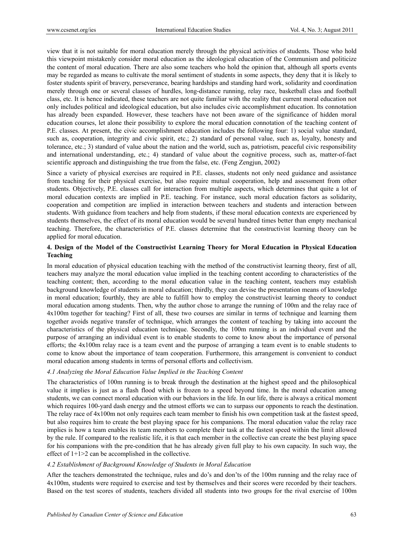view that it is not suitable for moral education merely through the physical activities of students. Those who hold this viewpoint mistakenly consider moral education as the ideological education of the Communism and politicize the content of moral education. There are also some teachers who hold the opinion that, although all sports events may be regarded as means to cultivate the moral sentiment of students in some aspects, they deny that it is likely to foster students spirit of bravery, perseverance, bearing hardships and standing hard work, solidarity and coordination merely through one or several classes of hurdles, long-distance running, relay race, basketball class and football class, etc. It is hence indicated, these teachers are not quite familiar with the reality that current moral education not only includes political and ideological education, but also includes civic accomplishment education. Its connotation has already been expanded. However, these teachers have not been aware of the significance of hidden moral education courses, let alone their possibility to explore the moral education connotation of the teaching content of P.E. classes. At present, the civic accomplishment education includes the following four: 1) social value standard, such as, cooperation, integrity and civic spirit, etc.; 2) standard of personal value, such as, loyalty, honesty and tolerance, etc.; 3) standard of value about the nation and the world, such as, patriotism, peaceful civic responsibility and international understanding, etc.; 4) standard of value about the cognitive process, such as, matter-of-fact scientific approach and distinguishing the true from the false, etc. (Feng Zengjun, 2002)

Since a variety of physical exercises are required in P.E. classes, students not only need guidance and assistance from teaching for their physical exercise, but also require mutual cooperation, help and assessment from other students. Objectively, P.E. classes call for interaction from multiple aspects, which determines that quite a lot of moral education contexts are implied in P.E. teaching. For instance, such moral education factors as solidarity, cooperation and competition are implied in interaction between teachers and students and interaction between students. With guidance from teachers and help from students, if these moral education contexts are experienced by students themselves, the effect of its moral education would be several hundred times better than empty mechanical teaching. Therefore, the characteristics of P.E. classes determine that the constructivist learning theory can be applied for moral education.

## **4. Design of the Model of the Constructivist Learning Theory for Moral Education in Physical Education Teaching**

In moral education of physical education teaching with the method of the constructivist learning theory, first of all, teachers may analyze the moral education value implied in the teaching content according to characteristics of the teaching content; then, according to the moral education value in the teaching content, teachers may establish background knowledge of students in moral education; thirdly, they can devise the presentation means of knowledge in moral education; fourthly, they are able to fulfill how to employ the constructivist learning theory to conduct moral education among students. Then, why the author chose to arrange the running of 100m and the relay race of 4x100m together for teaching? First of all, these two courses are similar in terms of technique and learning them together avoids negative transfer of technique, which arranges the content of teaching by taking into account the characteristics of the physical education technique. Secondly, the 100m running is an individual event and the purpose of arranging an individual event is to enable students to come to know about the importance of personal efforts; the 4x100m relay race is a team event and the purpose of arranging a team event is to enable students to come to know about the importance of team cooperation. Furthermore, this arrangement is convenient to conduct moral education among students in terms of personal efforts and collectivism.

#### *4.1 Analyzing the Moral Education Value Implied in the Teaching Content*

The characteristics of 100m running is to break through the destination at the highest speed and the philosophical value it implies is just as a flash flood which is frozen to a speed beyond time. In the moral education among students, we can connect moral education with our behaviors in the life. In our life, there is always a critical moment which requires 100-yard dash energy and the utmost efforts we can to surpass our opponents to reach the destination. The relay race of 4x100m not only requires each team member to finish his own competition task at the fastest speed, but also requires him to create the best playing space for his companions. The moral education value the relay race implies is how a team enables its team members to complete their task at the fastest speed within the limit allowed by the rule. If compared to the realistic life, it is that each member in the collective can create the best playing space for his companions with the pre-condition that he has already given full play to his own capacity. In such way, the effect of  $1+1>2$  can be accomplished in the collective.

#### *4.2 Establishment of Background Knowledge of Students in Moral Education*

After the teachers demonstrated the technique, rules and do's and don'ts of the 100m running and the relay race of 4x100m, students were required to exercise and test by themselves and their scores were recorded by their teachers. Based on the test scores of students, teachers divided all students into two groups for the rival exercise of 100m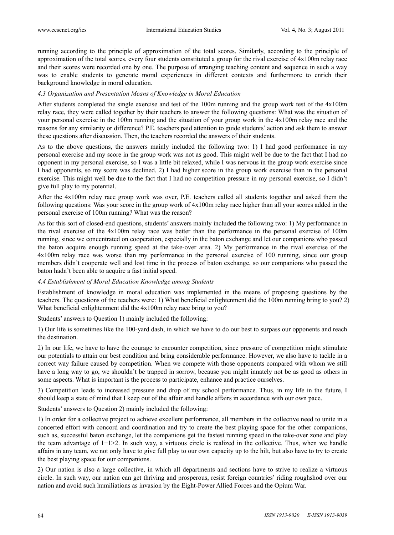running according to the principle of approximation of the total scores. Similarly, according to the principle of approximation of the total scores, every four students constituted a group for the rival exercise of 4x100m relay race and their scores were recorded one by one. The purpose of arranging teaching content and sequence in such a way was to enable students to generate moral experiences in different contexts and furthermore to enrich their background knowledge in moral education.

#### *4.3 Organization and Presentation Means of Knowledge in Moral Education*

After students completed the single exercise and test of the 100m running and the group work test of the 4x100m relay race, they were called together by their teachers to answer the following questions: What was the situation of your personal exercise in the 100m running and the situation of your group work in the 4x100m relay race and the reasons for any similarity or difference? P.E. teachers paid attention to guide students' action and ask them to answer these questions after discussion. Then, the teachers recorded the answers of their students.

As to the above questions, the answers mainly included the following two: 1) I had good performance in my personal exercise and my score in the group work was not as good. This might well be due to the fact that I had no opponent in my personal exercise, so I was a little bit relaxed, while I was nervous in the group work exercise since I had opponents, so my score was declined. 2) I had higher score in the group work exercise than in the personal exercise. This might well be due to the fact that I had no competition pressure in my personal exercise, so I didn't give full play to my potential.

After the 4x100m relay race group work was over, P.E. teachers called all students together and asked them the following questions: Was your score in the group work of 4x100m relay race higher than all your scores added in the personal exercise of 100m running? What was the reason?

As for this sort of closed-end questions, students' answers mainly included the following two: 1) My performance in the rival exercise of the 4x100m relay race was better than the performance in the personal exercise of 100m running, since we concentrated on cooperation, especially in the baton exchange and let our companions who passed the baton acquire enough running speed at the take-over area. 2) My performance in the rival exercise of the 4x100m relay race was worse than my performance in the personal exercise of 100 running, since our group members didn't cooperate well and lost time in the process of baton exchange, so our companions who passed the baton hadn't been able to acquire a fast initial speed.

#### *4.4 Establishment of Moral Education Knowledge among Students*

Establishment of knowledge in moral education was implemented in the means of proposing questions by the teachers. The questions of the teachers were: 1) What beneficial enlightenment did the 100m running bring to you? 2) What beneficial enlightenment did the 4x100m relay race bring to you?

Students' answers to Question 1) mainly included the following:

1) Our life is sometimes like the 100-yard dash, in which we have to do our best to surpass our opponents and reach the destination.

2) In our life, we have to have the courage to encounter competition, since pressure of competition might stimulate our potentials to attain our best condition and bring considerable performance. However, we also have to tackle in a correct way failure caused by competition. When we compete with those opponents compared with whom we still have a long way to go, we shouldn't be trapped in sorrow, because you might innately not be as good as others in some aspects. What is important is the process to participate, enhance and practice ourselves.

3) Competition leads to increased pressure and drop of my school performance. Thus, in my life in the future, I should keep a state of mind that I keep out of the affair and handle affairs in accordance with our own pace.

Students' answers to Question 2) mainly included the following:

1) In order for a collective project to achieve excellent performance, all members in the collective need to unite in a concerted effort with concord and coordination and try to create the best playing space for the other companions, such as, successful baton exchange, let the companions get the fastest running speed in the take-over zone and play the team advantage of  $1+1>2$ . In such way, a virtuous circle is realized in the collective. Thus, when we handle affairs in any team, we not only have to give full play to our own capacity up to the hilt, but also have to try to create the best playing space for our companions.

2) Our nation is also a large collective, in which all departments and sections have to strive to realize a virtuous circle. In such way, our nation can get thriving and prosperous, resist foreign countries' riding roughshod over our nation and avoid such humiliations as invasion by the Eight-Power Allied Forces and the Opium War.